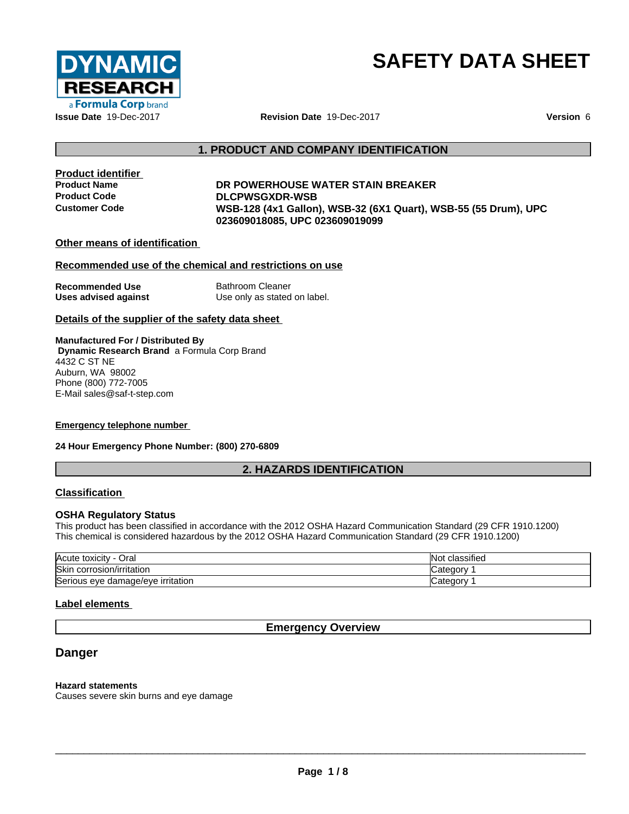

## **SAFETY DATA SHEET**

### **1. PRODUCT AND COMPANY IDENTIFICATION**

# **Product identifier**

### **Product Name DR POWERHOUSE WATER STAIN BREAKER Product Code DLCPWSGXDR-WSB Customer Code WSB-128 (4x1 Gallon), WSB-32 (6X1 Quart), WSB-55 (55 Drum), UPC 023609018085, UPC 023609019099**

### **Other means of identification**

### **Recommended use of the chemical and restrictions on use**

**Recommended Use** Bathroom Cleaner **Uses advised against** Use only as stated on label.

### **Details of the supplier of the safety data sheet**

**Manufactured For / Distributed By Dynamic Research Brand** a Formula Corp Brand 4432 C ST NE Auburn, WA 98002 Phone (800) 772-7005 E-Mail sales@saf-t-step.com

### **Emergency telephone number**

### **24 Hour Emergency Phone Number: (800) 270-6809**

### **2. HAZARDS IDENTIFICATION**

### **Classification**

### **OSHA Regulatory Status**

This product has been classified in accordance with the 2012 OSHA Hazard Communication Standard (29 CFR 1910.1200) This chemical is considered hazardous by the 2012 OSHA Hazard Communication Standard (29 CFR 1910.1200)

| Acute toxicity<br>اد∪                  | $\cdots$<br>classified<br><b>NOU</b> |
|----------------------------------------|--------------------------------------|
| Skin<br>corrosion/irritation           | ⊝ategory ⊃                           |
| ∽<br>Serious eye damage/eye irritation | ∵ategory.                            |

### **Label elements**

### **Emergency Overview**

### **Danger**

### **Hazard statements**

Causes severe skin burns and eye damage

 $\overline{\phantom{a}}$  ,  $\overline{\phantom{a}}$  ,  $\overline{\phantom{a}}$  ,  $\overline{\phantom{a}}$  ,  $\overline{\phantom{a}}$  ,  $\overline{\phantom{a}}$  ,  $\overline{\phantom{a}}$  ,  $\overline{\phantom{a}}$  ,  $\overline{\phantom{a}}$  ,  $\overline{\phantom{a}}$  ,  $\overline{\phantom{a}}$  ,  $\overline{\phantom{a}}$  ,  $\overline{\phantom{a}}$  ,  $\overline{\phantom{a}}$  ,  $\overline{\phantom{a}}$  ,  $\overline{\phantom{a}}$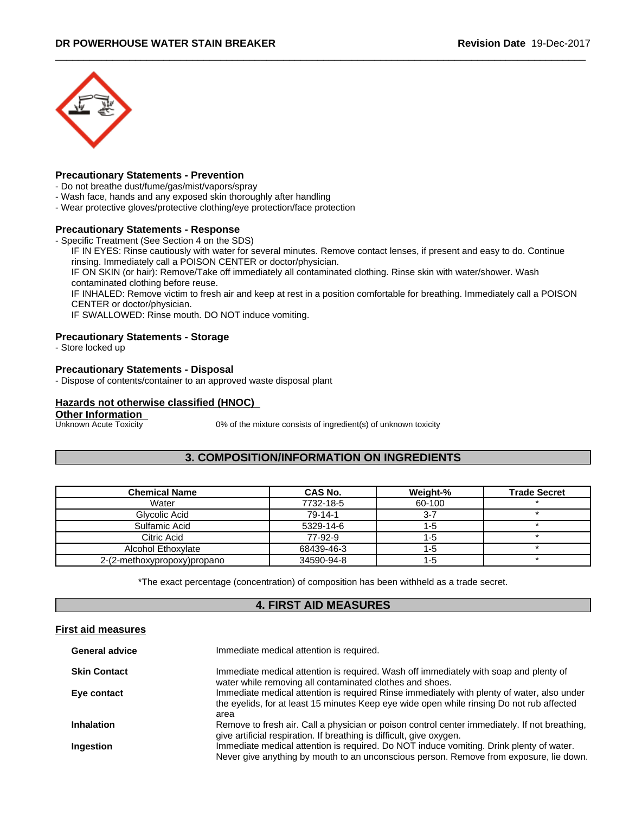

### **Precautionary Statements - Prevention**

- Do not breathe dust/fume/gas/mist/vapors/spray
- Wash face, hands and any exposed skin thoroughly after handling
- Wear protective gloves/protective clothing/eye protection/face protection

### **Precautionary Statements - Response**

- Specific Treatment (See Section 4 on the SDS)

IF IN EYES: Rinse cautiously with water for several minutes. Remove contact lenses, if present and easy to do. Continue rinsing. Immediately call a POISON CENTER or doctor/physician.

IF ON SKIN (or hair): Remove/Take off immediately all contaminated clothing. Rinse skin with water/shower. Wash contaminated clothing before reuse.

IF INHALED: Remove victim to fresh air and keep at rest in a position comfortable for breathing. Immediately call a POISON CENTER or doctor/physician.

IF SWALLOWED: Rinse mouth. DO NOT induce vomiting.

### **Precautionary Statements - Storage**

- Store locked up

### **Precautionary Statements - Disposal**

- Dispose of contents/container to an approved waste disposal plant

### **Hazards not otherwise classified (HNOC)**

**Other Information**<br>**Unknown Acute Toxicity** 

0% of the mixture consists of ingredient(s) of unknown toxicity

### **3. COMPOSITION/INFORMATION ON INGREDIENTS**

| <b>Chemical Name</b>        | CAS No.    | Weight-% | <b>Trade Secret</b> |
|-----------------------------|------------|----------|---------------------|
| Water                       | 7732-18-5  | 60-100   |                     |
| Glycolic Acid               | $79-14-1$  |          |                     |
| Sulfamic Acid               | 5329-14-6  |          |                     |
| Citric Acid                 | 77-92-9    |          |                     |
| Alcohol Ethoxylate          | 68439-46-3 | 1-5      |                     |
| 2-(2-methoxypropoxy)propano | 34590-94-8 | ל-ו      |                     |

\*The exact percentage (concentration) of composition has been withheld as a trade secret.

### **4. FIRST AID MEASURES**

### **First aid measures**

| <b>General advice</b> | Immediate medical attention is required.                                                                                                                                                        |
|-----------------------|-------------------------------------------------------------------------------------------------------------------------------------------------------------------------------------------------|
| <b>Skin Contact</b>   | Immediate medical attention is required. Wash off immediately with soap and plenty of<br>water while removing all contaminated clothes and shoes.                                               |
| Eye contact           | Immediate medical attention is required Rinse immediately with plenty of water, also under<br>the eyelids, for at least 15 minutes Keep eye wide open while rinsing Do not rub affected<br>area |
| <b>Inhalation</b>     | Remove to fresh air. Call a physician or poison control center immediately. If not breathing,<br>give artificial respiration. If breathing is difficult, give oxygen.                           |
| Ingestion             | Immediate medical attention is required. Do NOT induce vomiting. Drink plenty of water.<br>Never give anything by mouth to an unconscious person. Remove from exposure, lie down.               |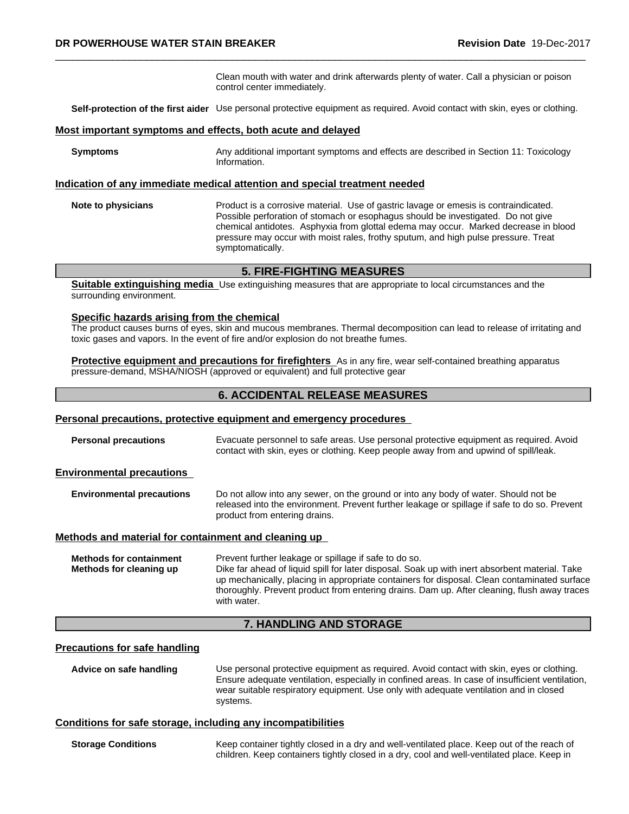Clean mouth with water and drink afterwards plenty of water. Call a physician or poison control center immediately.

**Self-protection of the first aider** Use personal protective equipment as required.Avoid contact with skin, eyes or clothing.

### **Most important symptoms and effects, both acute and delayed**

**Symptoms** Any additional important symptoms and effects are described in Section 11: Toxicology Information.

### **Indication of any immediate medical attention and special treatment needed**

**Note to physicians** Product is a corrosive material. Use of gastric lavage or emesis is contraindicated. Possible perforation of stomach or esophagus should be investigated. Do not give chemical antidotes. Asphyxia from glottal edema may occur. Marked decrease in blood pressure may occur with moist rales, frothy sputum, and high pulse pressure. Treat symptomatically.

### **5. FIRE-FIGHTING MEASURES**

**Suitable extinguishing media** Use extinguishing measures that are appropriate to local circumstances and the surrounding environment.

### **Specific hazards arising from the chemical**

The product causes burns of eyes, skin and mucous membranes. Thermal decomposition can lead to release of irritating and toxic gases and vapors. In the event of fire and/or explosion do not breathe fumes.

**Protective equipment and precautions for firefighters** As in any fire, wear self-contained breathing apparatus pressure-demand, MSHA/NIOSH (approved or equivalent) and full protective gear

### **6. ACCIDENTAL RELEASE MEASURES**

### **Personal precautions, protective equipment and emergency procedures**

**Personal precautions** Evacuate personnel to safe areas. Use personal protective equipment as required. Avoid contact with skin, eyes or clothing. Keep people away from and upwind of spill/leak.

### **Environmental precautions**

**Environmental precautions** Do not allow into any sewer, on the ground or into any body of water. Should not be released into the environment. Prevent further leakage or spillage if safe to do so. Prevent product from entering drains.

### **Methods and material for containment and cleaning up**

**Methods for containment** Prevent further leakage or spillage if safe to do so. **Methods for cleaning up** Dike far ahead of liquid spill for later disposal. Soak up with inert absorbent material. Take up mechanically, placing in appropriate containers for disposal. Clean contaminated surface thoroughly. Prevent product from entering drains. Dam up. After cleaning, flush away traces with water.

### **7. HANDLING AND STORAGE**

### **Precautions for safe handling**

**Advice on safe handling** Use personal protective equipment as required.Avoid contact with skin, eyes or clothing. Ensure adequate ventilation, especially in confined areas. In case of insufficient ventilation, wear suitable respiratory equipment. Use only with adequate ventilation and in closed systems.

### **Conditions for safe storage, including any incompatibilities**

**Storage Conditions** Keep container tightly closed in a dry and well-ventilated place. Keep out of the reach of children. Keep containers tightly closed in a dry, cool and well-ventilated place. Keep in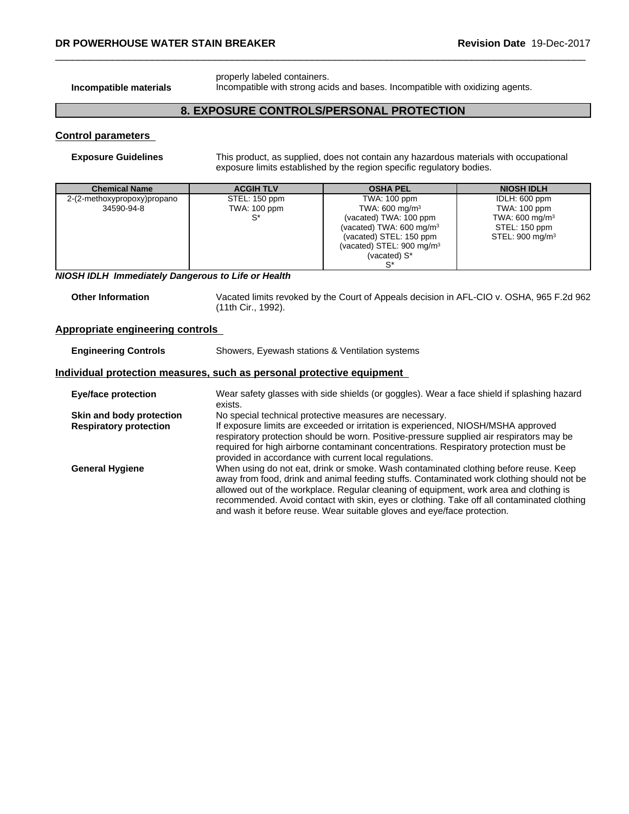properly labeled containers. **Incompatible materials** Incompatible with strong acids and bases. Incompatible with oxidizing agents.

### **8. EXPOSURE CONTROLS/PERSONAL PROTECTION**

### **Control parameters**

**Exposure Guidelines** This product, as supplied, does not contain any hazardous materials with occupational exposure limits established by the region specific regulatory bodies.

| <b>Chemical Name</b>        | <b>ACGIH TLV</b> | <b>OSHA PEL</b>                      | <b>NIOSH IDLH</b>           |
|-----------------------------|------------------|--------------------------------------|-----------------------------|
| 2-(2-methoxypropoxy)propano | STEL: 150 ppm    | TWA: 100 ppm                         | IDLH: 600 ppm               |
| 34590-94-8                  | TWA: 100 ppm     | TWA: 600 mg/m <sup>3</sup>           | TWA: 100 ppm                |
|                             | S*               | (vacated) TWA: 100 ppm               | TWA: $600 \text{ mg/m}^3$   |
|                             |                  | (vacated) TWA: 600 mg/m <sup>3</sup> | STEL: 150 ppm               |
|                             |                  | (vacated) STEL: 150 ppm              | STEL: 900 mg/m <sup>3</sup> |
|                             |                  | (vacated) STEL: $900 \text{ mg/m}^3$ |                             |
|                             |                  | (vacated) $S^*$                      |                             |
|                             |                  |                                      |                             |

*NIOSH IDLH Immediately Dangerous to Life or Health*

| <b>Other Information</b> | Vacated limits revoked by the Court of Appeals decision in AFL-CIO v. OSHA, 965 F.2d 962 |
|--------------------------|------------------------------------------------------------------------------------------|
|                          | (11th Cir., 1992).                                                                       |

### **Appropriate engineering controls**

| <b>Engineering Controls</b>                                           | Showers, Eyewash stations & Ventilation systems                                                                                                                                                                                                                                                                                                                                                                                                      |  |  |
|-----------------------------------------------------------------------|------------------------------------------------------------------------------------------------------------------------------------------------------------------------------------------------------------------------------------------------------------------------------------------------------------------------------------------------------------------------------------------------------------------------------------------------------|--|--|
| Individual protection measures, such as personal protective equipment |                                                                                                                                                                                                                                                                                                                                                                                                                                                      |  |  |
| <b>Eye/face protection</b>                                            | Wear safety glasses with side shields (or goggles). Wear a face shield if splashing hazard<br>exists.                                                                                                                                                                                                                                                                                                                                                |  |  |
| Skin and body protection                                              | No special technical protective measures are necessary.                                                                                                                                                                                                                                                                                                                                                                                              |  |  |
| <b>Respiratory protection</b>                                         | If exposure limits are exceeded or irritation is experienced, NIOSH/MSHA approved<br>respiratory protection should be worn. Positive-pressure supplied air respirators may be<br>required for high airborne contaminant concentrations. Respiratory protection must be<br>provided in accordance with current local regulations.                                                                                                                     |  |  |
| <b>General Hygiene</b>                                                | When using do not eat, drink or smoke. Wash contaminated clothing before reuse. Keep<br>away from food, drink and animal feeding stuffs. Contaminated work clothing should not be<br>allowed out of the workplace. Regular cleaning of equipment, work area and clothing is<br>recommended. Avoid contact with skin, eyes or clothing. Take off all contaminated clothing<br>and wash it before reuse. Wear suitable gloves and eye/face protection. |  |  |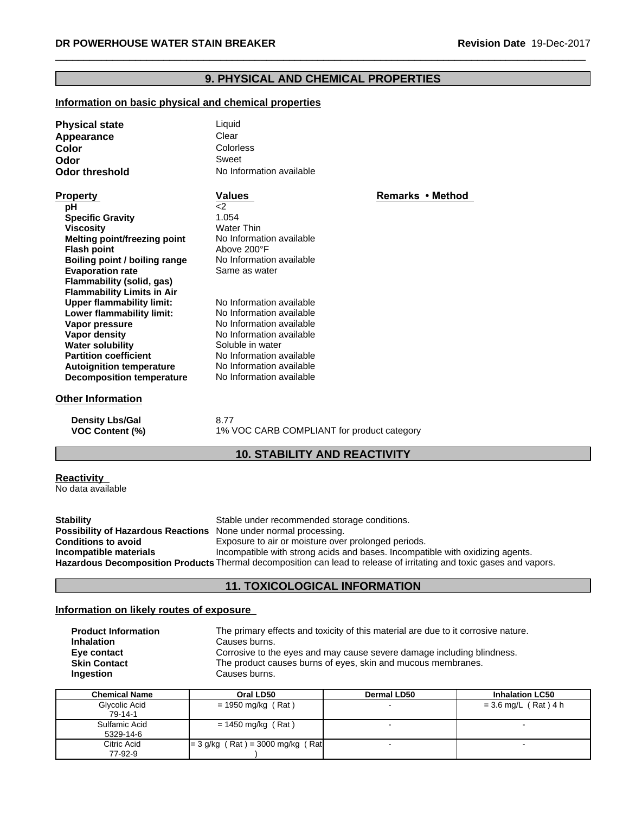### **9. PHYSICAL AND CHEMICAL PROPERTIES**

### **Information on basic physical and chemical properties**

| <b>Physical state</b>             | Liquid                   |                  |  |
|-----------------------------------|--------------------------|------------------|--|
| Appearance                        | Clear                    |                  |  |
| Color                             | Colorless                |                  |  |
| Odor                              | Sweet                    |                  |  |
| <b>Odor threshold</b>             | No Information available |                  |  |
| <b>Property</b>                   | Values                   | Remarks • Method |  |
| рH                                | $\leq$ 2                 |                  |  |
| <b>Specific Gravity</b>           | 1.054                    |                  |  |
| <b>Viscosity</b>                  | <b>Water Thin</b>        |                  |  |
| Melting point/freezing point      | No Information available |                  |  |
| <b>Flash point</b>                | Above 200°F              |                  |  |
| Boiling point / boiling range     | No Information available |                  |  |
| <b>Evaporation rate</b>           | Same as water            |                  |  |
| Flammability (solid, gas)         |                          |                  |  |
| <b>Flammability Limits in Air</b> |                          |                  |  |
| <b>Upper flammability limit:</b>  | No Information available |                  |  |
| Lower flammability limit:         | No Information available |                  |  |
| Vapor pressure                    | No Information available |                  |  |
| Vapor density                     | No Information available |                  |  |
| <b>Water solubility</b>           | Soluble in water         |                  |  |
| <b>Partition coefficient</b>      | No Information available |                  |  |
| <b>Autoignition temperature</b>   | No Information available |                  |  |
| <b>Decomposition temperature</b>  | No Information available |                  |  |
| <b>Other Information</b>          |                          |                  |  |
| <b>Density Lbs/Gal</b>            | 8.77                     |                  |  |

### **VOC Content (%)** 1% VOC CARB COMPLIANT for product category

### **10. STABILITY AND REACTIVITY**

### **Reactivity**

No data available

**Stability** Stable under recommended storage conditions. **Possibility of Hazardous Reactions** None under normal processing.<br> **Conditions to avoid** Exposure to air or moisture over Exposure to air or moisture over prolonged periods. **Incompatible materials Incompatible** with strong acids and bases. Incompatible with oxidizing agents. **Hazardous Decomposition Products** Thermal decomposition can lead to release of irritating and toxic gases and vapors.

### **11. TOXICOLOGICAL INFORMATION**

### **Information on likely routes of exposure**

| <b>Product Information</b> | The primary effects and toxicity of this material are due to it corrosive nature. |
|----------------------------|-----------------------------------------------------------------------------------|
| <b>Inhalation</b>          | Causes burns.                                                                     |
| Eye contact                | Corrosive to the eyes and may cause severe damage including blindness.            |
| <b>Skin Contact</b>        | The product causes burns of eyes, skin and mucous membranes.                      |
| <b>Ingestion</b>           | Causes burns.                                                                     |

| Chemical Name              | Oral LD50                           | <b>Dermal LD50</b> | <b>Inhalation LC50</b> |
|----------------------------|-------------------------------------|--------------------|------------------------|
| Glycolic Acid<br>79-14-1   | = 1950 mg/kg (Rat)                  |                    | = 3.6 mg/L (Rat)4 h    |
| Sulfamic Acid<br>5329-14-6 | = 1450 mg/kg (Rat)                  |                    |                        |
| Citric Acid<br>77-92-9     | $= 3$ g/kg (Rat) = 3000 mg/kg (Rat) |                    |                        |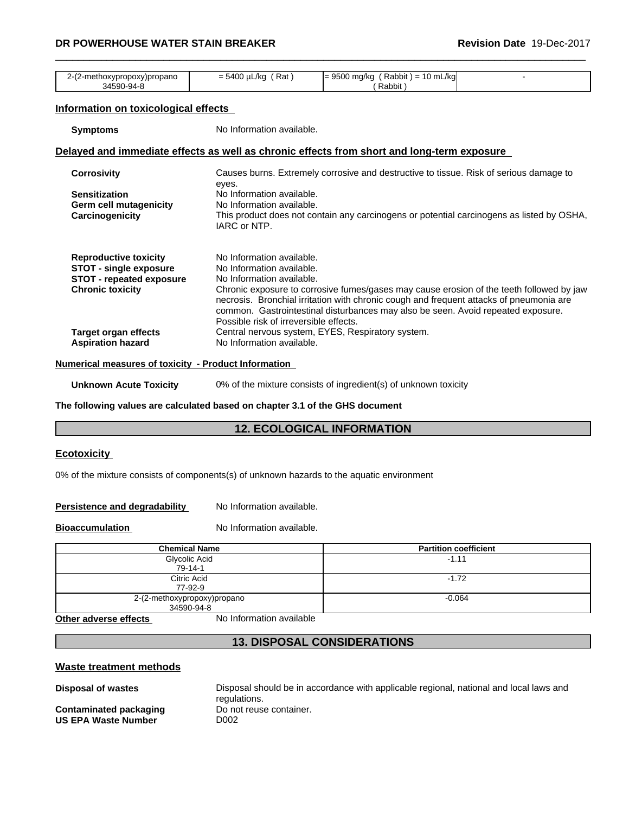### \_\_\_\_\_\_\_\_\_\_\_\_\_\_\_\_\_\_\_\_\_\_\_\_\_\_\_\_\_\_\_\_\_\_\_\_\_\_\_\_\_\_\_\_\_\_\_\_\_\_\_\_\_\_\_\_\_\_\_\_\_\_\_\_\_\_\_\_\_\_\_\_\_\_\_\_\_\_\_\_\_\_\_\_\_\_\_\_\_\_\_\_\_ **DR POWERHOUSE WATER STAIN BREAKER Revision Date** 19-Dec-2017

| 2-(2-methoxypropoxy)propano<br>34590-94-8                     | $= 5400 \mu L/kg$ (Rat)                                | $= 9500$ mg/kg (Rabbit) = 10 mL/kg<br>(Rabbit)                                                                                                                                                                                                                          |  |
|---------------------------------------------------------------|--------------------------------------------------------|-------------------------------------------------------------------------------------------------------------------------------------------------------------------------------------------------------------------------------------------------------------------------|--|
|                                                               |                                                        |                                                                                                                                                                                                                                                                         |  |
| Information on toxicological effects                          |                                                        |                                                                                                                                                                                                                                                                         |  |
| <b>Symptoms</b>                                               | No Information available.                              |                                                                                                                                                                                                                                                                         |  |
|                                                               |                                                        | Delayed and immediate effects as well as chronic effects from short and long-term exposure                                                                                                                                                                              |  |
| <b>Corrosivity</b>                                            | eyes.                                                  | Causes burns. Extremely corrosive and destructive to tissue. Risk of serious damage to                                                                                                                                                                                  |  |
| <b>Sensitization</b>                                          | No Information available.                              |                                                                                                                                                                                                                                                                         |  |
| Germ cell mutagenicity<br>Carcinogenicity                     | No Information available.<br>IARC or NTP.              | This product does not contain any carcinogens or potential carcinogens as listed by OSHA,                                                                                                                                                                               |  |
| <b>Reproductive toxicity</b><br><b>STOT - single exposure</b> | No Information available.<br>No Information available. |                                                                                                                                                                                                                                                                         |  |
| <b>STOT - repeated exposure</b>                               | No Information available.                              |                                                                                                                                                                                                                                                                         |  |
| <b>Chronic toxicity</b>                                       | Possible risk of irreversible effects.                 | Chronic exposure to corrosive fumes/gases may cause erosion of the teeth followed by jaw<br>necrosis. Bronchial irritation with chronic cough and frequent attacks of pneumonia are<br>common. Gastrointestinal disturbances may also be seen. Avoid repeated exposure. |  |
| <b>Target organ effects</b>                                   |                                                        | Central nervous system, EYES, Respiratory system.                                                                                                                                                                                                                       |  |
| <b>Aspiration hazard</b>                                      | No Information available.                              |                                                                                                                                                                                                                                                                         |  |
| Numerical measures of toxicity - Product Information          |                                                        |                                                                                                                                                                                                                                                                         |  |
| <b>Unknown Acute Toxicity</b>                                 |                                                        | 0% of the mixture consists of ingredient(s) of unknown toxicity                                                                                                                                                                                                         |  |

**The following values are calculated based on chapter 3.1 of the GHS document**

### **12. ECOLOGICAL INFORMATION**

### **Ecotoxicity**

0% of the mixture consists of components(s) of unknown hazards to the aquatic environment

**Persistence and degradability** No Information available.

**Bioaccumulation** No Information available.

| <b>Chemical Name</b>        | <b>Partition coefficient</b> |
|-----------------------------|------------------------------|
| Glycolic Acid               | $-1.11$                      |
| $79 - 14 - 1$               |                              |
| Citric Acid                 | $-1.72$                      |
| 77-92-9                     |                              |
| 2-(2-methoxypropoxy)propano | $-0.064$                     |
| 34590-94-8                  |                              |

**Other adverse effects** No Information available

### **13. DISPOSAL CONSIDERATIONS**

### **Waste treatment methods**

**Disposal of wastes** Disposal should be in accordance with applicable regional, national and local laws and regulations.<br>Do not reuse container.

**Contaminated packaging by Do not relate container container and Do not relate to Report The Container and Do no<br>US EPA Waste Number by Do 02 US EPA Waste Number**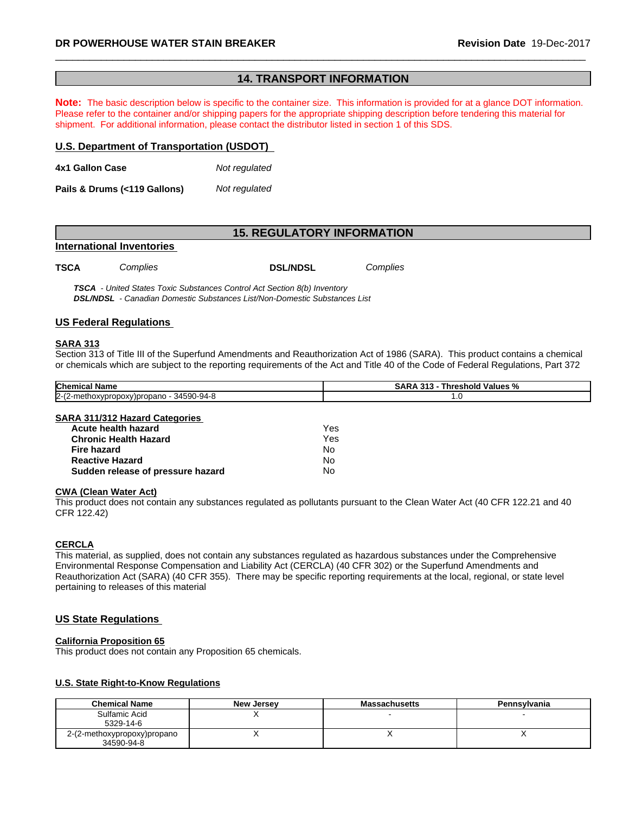### **14. TRANSPORT INFORMATION**

**Note:** The basic description below is specific to the container size. This information is provided for at a glance DOT information. Please refer to the container and/or shipping papers for the appropriate shipping description before tendering this material for shipment. For additional information, please contact the distributor listed in section 1 of this SDS.

### **U.S. Department of Transportation (USDOT)**

**4x1 Gallon Case** *Not regulated*

**Pails & Drums (<119 Gallons)***Not regulated*

### **15. REGULATORY INFORMATION**

### **International Inventories**

**TSCA** *Complies* **DSL/NDSL** *Complies*

 *TSCA - United States Toxic Substances Control Act Section 8(b) Inventory DSL/NDSL - Canadian Domestic Substances List/Non-Domestic Substances List*

### **US Federal Regulations**

### **SARA 313**

Section 313 of Title III of the Superfund Amendments and Reauthorization Act of 1986 (SARA). This product contains a chemical or chemicals which are subject to the reporting requirements of the Act and Title 40 of the Code of Federal Regulations, Part 372

| <b>Chemical</b><br>' Name                                                          | <br>Values<br>shold<br>м<br>. nref<br>70 |
|------------------------------------------------------------------------------------|------------------------------------------|
| '~<br>$\sim$<br>34590-94<br>$0.04 - 8$<br>:y)propano<br>(2-methoxypropoxy<br>12-12 | .                                        |

### **SARA 311/312 Hazard Categories**

| Acute health hazard               | Yes |  |
|-----------------------------------|-----|--|
| Chronic Health Hazard             | Yes |  |
| Fire hazard                       | N٥  |  |
| Reactive Hazard                   | N٥  |  |
| Sudden release of pressure hazard | N٥  |  |

### **CWA** (Clean Water Act)

This product does not contain any substances regulated as pollutants pursuant to the Clean Water Act (40 CFR 122.21 and 40 CFR 122.42)

### **CERCLA**

This material, as supplied, does not contain any substances regulated as hazardous substances under the Comprehensive Environmental Response Compensation and Liability Act (CERCLA) (40 CFR 302) or the Superfund Amendments and Reauthorization Act (SARA) (40 CFR 355). There may be specific reporting requirements at the local, regional, or state level pertaining to releases of this material

### **US State Regulations**

### **California Proposition 65**

This product does not contain any Proposition 65 chemicals.

### **U.S. State Right-to-Know Regulations**

| <b>Chemical Name</b>        | <b>New Jersey</b> | <b>Massachusetts</b> | Pennsylvania |
|-----------------------------|-------------------|----------------------|--------------|
| Sulfamic Acid               |                   |                      |              |
| 5329-14-6                   |                   |                      |              |
| 2-(2-methoxypropoxy)propano |                   |                      |              |
| 34590-94-8                  |                   |                      |              |